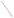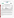# **THE ENVIRONMENTAL TECHNOLOGY VERIFICATION**







# **ETV Joint Verification Statement**

|                     | TECHNOLOGY TYPE: PORTABLE EMISSION ANALYZER                |                       |                              |
|---------------------|------------------------------------------------------------|-----------------------|------------------------------|
| <b>APPLICATION:</b> | DETERMINING NITROGEN OXIDES EMISSIONS                      |                       |                              |
|                     | TECHNOLOGY NAME: Model ECA 450 Portable Emissions Analyzer |                       |                              |
| <b>COMPANY:</b>     | Bacharach, Inc.                                            |                       |                              |
| <b>ADDRESS:</b>     | <b>625 Alpha Drive</b><br>Pittsburgh, PA 15238             | <b>PHONE:</b><br>FAX: | 412-963-2000<br>412-963-2091 |
| <b>WEB SITE:</b>    | http://www.bacharach-inc.com                               |                       |                              |
| E-MAIL:             | help@bacharach-inc.com                                     |                       |                              |

The U.S. Environmental Protection Agency (EPA) has created the Environmental Technology Verification (ETV) Program to facilitate the deployment of innovative or improved environmental technologies through performance verification and dissemination of information. The goal of the ETV Program is to further environmental protection by substantially accelerating the acceptance and use of improved and cost-effective technologies. ETV seeks to achieve this goal by providing high quality, peer reviewed data on technology performance to those involved in the design, distribution, financing, permitting, purchase, and use of environmental technologies.

ETV works in partnership with recognized standards and testing organizations; stakeholder groups which consist of buyers, vendor organizations, and permitters; and with the full participation of individual technology developers. The program evaluates the performance of innovative technologies by developing test plans that are responsive to the needs of stakeholders, conducting field or laboratory tests (as appropriate), collecting and analyzing data, and preparing peer reviewed reports. All evaluations are conducted in accordance with rigorous quality assurance protocols to ensure that data of known and adequate quality are generated and that the results are defensible.

The Advanced Monitoring Systems (AMS) Center, one of 12 technology areas under ETV, is operated by Battelle in cooperation with EPA's National Exposure Research Laboratory. AMS has recently evaluated the performance of portable nitrogen oxides monitors used to determine emissions from combustion sources. This verification statement provides a summary of the test results for the Bacharach Model ECA 450 Portable Emission Analyzer.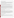## **VERIFICATION TEST DESCRIPTION**

The verification test described in this report was one of a series of tests conducted in April and May, 2000 on commercial portable nitrogen oxides analyzers at Battelle's facilities in Columbus, Ohio. Verification testing of the analyzers involved (1) a series of laboratory tests in which certified NO and NO<sub>2</sub> standards were used to challenge the analyzers over a wide concentration range and (2) tests using realistic combustion sources, in which data from the portable analyzers undergoing testing were compared to simultaneous measurements of NO and  $NO<sub>x</sub>$  obtained with two chemiluminescent analyzers.

Verification testing lasted three to four days, of which two days were required for laboratory testing and the remainder for source emissions testing. To assess inter-unit variability, two identical analyzers were tested simultaneously in all tests, and results from the two analyzers were kept separate. The analyzers were operated at all times by a representative of Bacharach and supervised at all times by Battelle staff.

Verification testing focused on measurement of NO and  $NO_2$ , the sum of which is denoted as  $NO_x$ . Laboratory testing included a linearity test over the entire nominal ranges of the analyzers for both NO and NO<sub>2</sub>; estimation of detection limits and response times; interference testing; assessment of sample pressure and ambient temperature effects on analyzer response; and evaluation of zero and span drift during the various laboratory tests. Tests with combustion sources assessed the accuracy of NO,  $NO<sub>2</sub>$ , and  $NO<sub>x</sub>$  measurements, relative to the chemiluminescent NO/NO<sub>x</sub> approach that is the basis of EPA Method 7E. Sources used in the testing were a gas-fired rangetop burner, a gas-fired water heater, and a diesel-powered electrical generator operated at both idle and at high RPM. These sources produced  $NO<sub>x</sub>$  emissions ranging from less than 10 to over 400 ppm. Zero and span drift resulting from exposure to source emissions were assessed, and analyzer stability was monitored during one hour of uninterrupted sampling of diesel emissions.

Quality assurance (QA) oversight of verification testing was provided by Battelle. Battelle independent QA staff conducted a technical systems audit and a data quality audit of 10% of the test data. Battelle testing staff conducted a performance evaluation audit, which was reviewed by independent QA staff.

### **TECHNOLOGY DESCRIPTION**

The Bacharach ECA 450 is a portable, microprocessor-controlled emission analyzer using electrochemical sensors. The ECA 450 can be fitted with up to seven separate gas sensors to measure oxygen, carbon monoxide (2 ranges), oxides of nitrogen (NO and  $NO<sub>2</sub>$ ), sulfur dioxide, and hydrocarbons. Only NO and  $NO<sub>2</sub>$  measurements were verified in the test reported here. The ECA 450 measures 18" x 14.5" x 10" and weighs 25 pounds. An on-board printer permits printing hard copy of gas parameters; up to 1,000 data points can be stored internally. An RS232 interface provides the option to send the data to a computer. An optional sample conditioning system that includes a probe with a heated sample line and a Peltier cooler/moisture removal system is available and was used in this verification test. The conditioning system is recommended for sampling  $NO$ ,  $NO<sub>2</sub>$  and  $SO<sub>2</sub>$ . A large vacuum flourescent display screen displays the gas parameters being measured in real time.

### **VERIFICATION OF PERFORMANCE**

**Linearity:** The Bacharach ECA 450 analyzers provided linear response for  $NO<sub>2</sub>$  over the tested range of 0 to 450 ppm and for NO over the range of 0 to 1,000 ppm. Above that range for NO, the analyzers showed a slight upward curvature in response.

**Detection Limit:** Detection limits estimated from the linearity tests were 3 to 4 ppm for NO<sub>2</sub>, and 8 to 11 ppm for NO. These values probably were influenced by exposures to high levels of NO and  $NO<sub>2</sub>$  during the linearity tests. Combustion source tests suggested detection capabilities comparable to the 1 ppm measurement resolution of the analyzers.